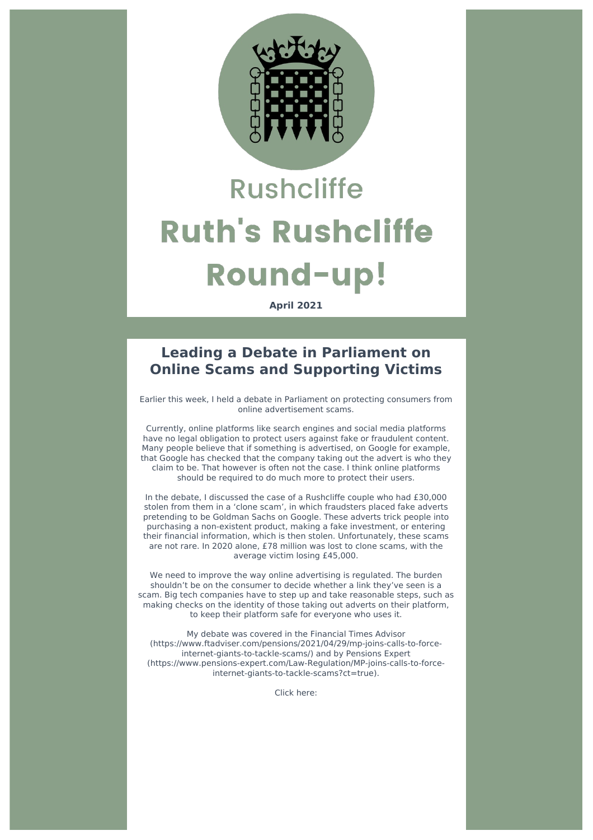

# **Rushcliffe Ruth's Rushcliffe Round-up!**

**April 2021**

#### **Leading a Debate in Parliament on Online Scams and Supporting Victims**

Earlier this week, I held a debate in Parliament on protecting consumers from online advertisement scams.

Currently, online platforms like search engines and social media platforms have no legal obligation to protect users against fake or fraudulent content. Many people believe that if something is advertised, on Google for example, that Google has checked that the company taking out the advert is who they claim to be. That however is often not the case. I think online platforms should be required to do much more to protect their users.

In the debate, I discussed the case of a Rushcliffe couple who had £30,000 stolen from them in a 'clone scam', in which fraudsters placed fake adverts pretending to be Goldman Sachs on Google. These adverts trick people into purchasing a non-existent product, making a fake investment, or entering their financial information, which is then stolen. Unfortunately, these scams are not rare. In 2020 alone, £78 million was lost to clone scams, with the average victim losing £45,000.

We need to improve the way online advertising is regulated. The burden shouldn't be on the consumer to decide whether a link they've seen is a scam. Big tech companies have to step up and take reasonable steps, such as making checks on the identity of those taking out adverts on their platform, to keep their platform safe for everyone who uses it.

My debate was covered in the Financial Times Advisor (https://www.ftadviser.com/pensions/2021/04/29/mp-joins-calls-to-forceinternet-giants-to-tackle-scams/) and by Pensions Expert (https://www.pensions-expert.com/Law-Regulation/MP-joins-calls-to-forceinternet-giants-to-tackle-scams?ct=true).

Click here: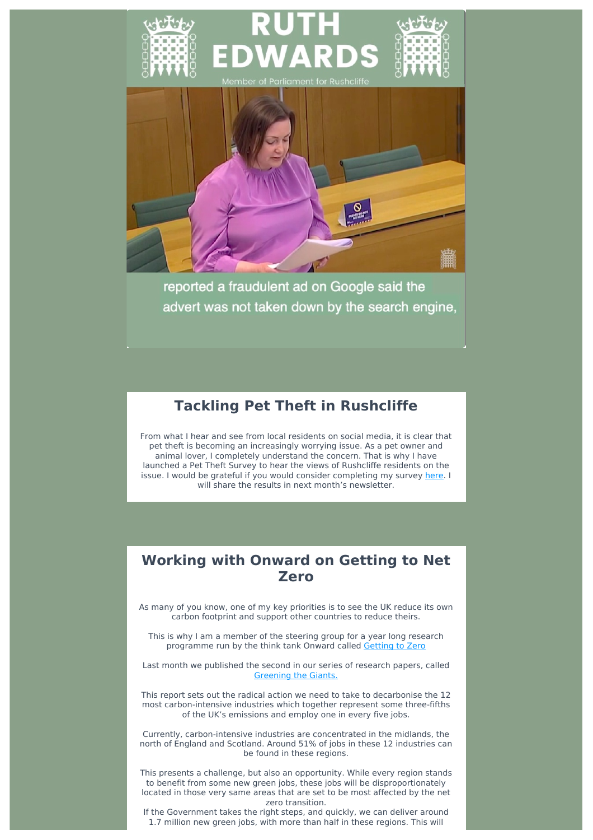

reported a fraudulent ad on Google said the advert was not taken down by the search engine,

# **Tackling Pet Theft in Rushcliffe**

From what I hear and see from local residents on social media, it is clear that pet theft is becoming an increasingly worrying issue. As a pet owner and animal lover, I completely understand the concern. That is why I have launched a Pet Theft Survey to hear the views of Rushcliffe residents on the issue. I would be grateful if you would consider completing my survey [here.](https://www.ruthedwards.org.uk/pet-theft-survey) I will share the results in next month's newsletter.

## **Working with Onward on Getting to Net Zero**

As many of you know, one of my key priorities is to see the UK reduce its own carbon footprint and support other countries to reduce theirs.

This is why I am a member of the steering group for a year long research programme run by the think tank Onward called [Getting](https://www.ukonward.com/launch-getting-to-zero/) to Zero

Last month we published the second in our series of research papers, called [Greening](https://www.ukonward.com/greeningthegiants/) the Giants.

This report sets out the radical action we need to take to decarbonise the 12 most carbon-intensive industries which together represent some three-fifths of the UK's emissions and employ one in every five jobs.

Currently, carbon-intensive industries are concentrated in the midlands, the north of England and Scotland. Around 51% of jobs in these 12 industries can be found in these regions.

This presents a challenge, but also an opportunity. While every region stands to benefit from some new green jobs, these jobs will be disproportionately located in those very same areas that are set to be most affected by the net zero transition.

If the Government takes the right steps, and quickly, we can deliver around 1.7 million new green jobs, with more than half in these regions. This will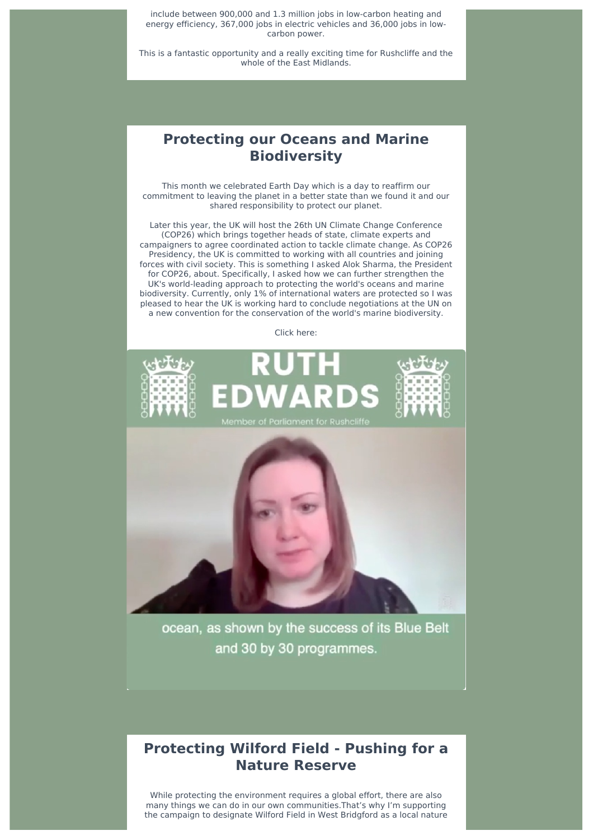include between 900,000 and 1.3 million jobs in low-carbon heating and energy efficiency, 367,000 jobs in electric vehicles and 36,000 jobs in lowcarbon power.

This is a fantastic opportunity and a really exciting time for Rushcliffe and the whole of the East Midlands.

#### **Protecting our Oceans and Marine Biodiversity**

This month we celebrated Earth Day which is a day to reaffirm our commitment to leaving the planet in a better state than we found it and our shared responsibility to protect our planet.

Later this year, the UK will host the 26th UN Climate Change Conference (COP26) which brings together heads of state, climate experts and campaigners to agree coordinated action to tackle climate change. As COP26 Presidency, the UK is committed to working with all countries and joining forces with civil society. This is something I asked Alok Sharma, the President for COP26, about. Specifically, I asked how we can further strengthen the UK's world-leading approach to protecting the world's oceans and marine biodiversity. Currently, only 1% of international waters are protected so I was pleased to hear the UK is working hard to conclude negotiations at the UN on a new convention for the conservation of the world's marine biodiversity.

Click here:





ocean, as shown by the success of its Blue Belt and 30 by 30 programmes.

# **Protecting Wilford Field - Pushing for a Nature Reserve**

While protecting the environment requires a global effort, there are also many things we can do in our own communities.That's why I'm supporting the campaign to designate Wilford Field in West Bridgford as a local nature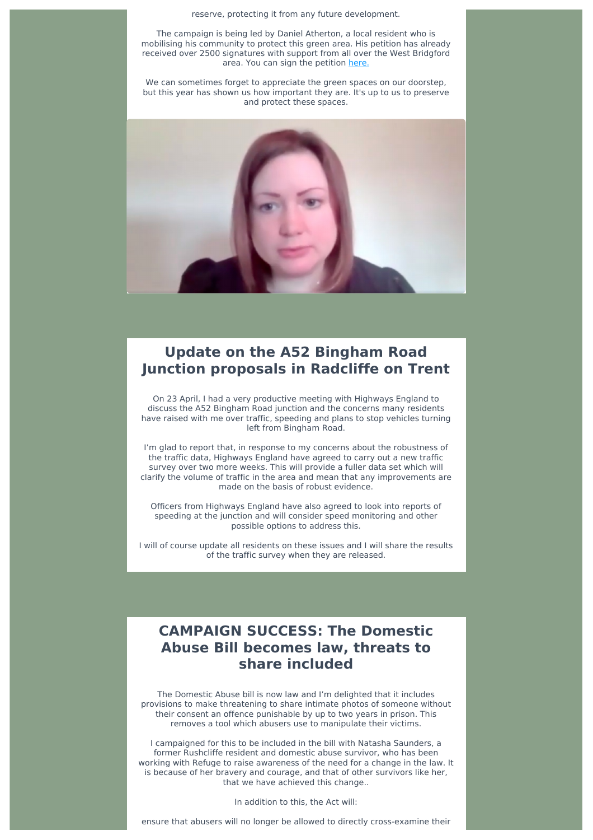reserve, protecting it from any future development.

The campaign is being led by Daniel Atherton, a local resident who is mobilising his community to protect this green area. His petition has already received over 2500 signatures with support from all over the West Bridgford area. You can sign the petition [here.](https://www.change.org/p/rushcliffe-borough-council-protect-wilford-field?fbclid=IwAR28tnRH5OnGKWt4jEdywS6CqIUf8HmQI4zBcsT8xacKCVcrxSmSiK4XzX8)

We can sometimes forget to appreciate the green spaces on our doorstep, but this year has shown us how important they are. It's up to us to preserve and protect these spaces.



# **Update on the A52 Bingham Road Junction proposals in Radcliffe on Trent**

On 23 April, I had a very productive meeting with Highways England to discuss the A52 Bingham Road junction and the concerns many residents have raised with me over traffic, speeding and plans to stop vehicles turning left from Bingham Road.

I'm glad to report that, in response to my concerns about the robustness of the traffic data, Highways England have agreed to carry out a new traffic survey over two more weeks. This will provide a fuller data set which will clarify the volume of traffic in the area and mean that any improvements are made on the basis of robust evidence.

Officers from Highways England have also agreed to look into reports of speeding at the junction and will consider speed monitoring and other possible options to address this.

I will of course update all residents on these issues and I will share the results of the traffic survey when they are released.

# **CAMPAIGN SUCCESS: The Domestic Abuse Bill becomes law, threats to share included**

The Domestic Abuse bill is now law and I'm delighted that it includes provisions to make threatening to share intimate photos of someone without their consent an offence punishable by up to two years in prison. This removes a tool which abusers use to manipulate their victims.

I campaigned for this to be included in the bill with Natasha Saunders, a former Rushcliffe resident and domestic abuse survivor, who has been working with Refuge to raise awareness of the need for a change in the law. It is because of her bravery and courage, and that of other survivors like her, that we have achieved this change..

In addition to this, the Act will:

ensure that abusers will no longer be allowed to directly cross-examine their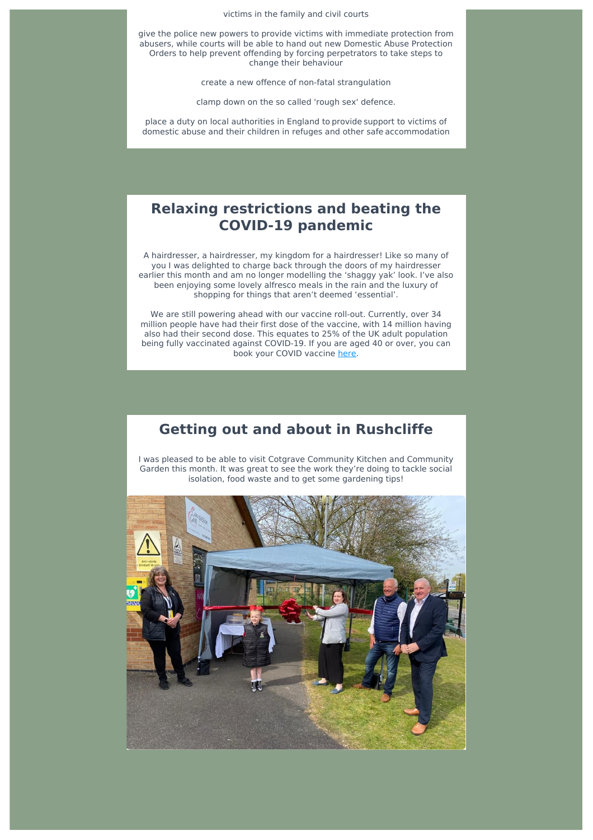victims in the family and civil courts

give the police new powers to provide victims with immediate protection from abusers, while courts will be able to hand out new Domestic Abuse Protection Orders to help prevent offending by forcing perpetrators to take steps to change their behaviour

create a new offence of non-fatal strangulation

clamp down on the so called 'rough sex' defence.

place a duty on local authorities in England to provide support to victims of domestic abuse and their children in refuges and other safe accommodation

## **Relaxing restrictions and beating the COVID-19 pandemic**

A hairdresser, a hairdresser, my kingdom for a hairdresser! Like so many of you I was delighted to charge back through the doors of my hairdresser earlier this month and am no longer modelling the 'shaggy yak' look. I've also been enjoying some lovely alfresco meals in the rain and the luxury of shopping for things that aren't deemed 'essential'.

We are still powering ahead with our vaccine roll-out. Currently, over 34 million people have had their first dose of the vaccine, with 14 million having also had their second dose. This equates to 25% of the UK adult population being fully vaccinated against COVID-19. If you are aged 40 or over, you can book your COVID vaccine [here.](https://www.nhs.uk/conditions/coronavirus-covid-19/coronavirus-vaccination/coronavirus-vaccine/)

#### **Getting out and about in Rushcliffe**

I was pleased to be able to visit Cotgrave Community Kitchen and Community Garden this month. It was great to see the work they're doing to tackle social isolation, food waste and to get some gardening tips!

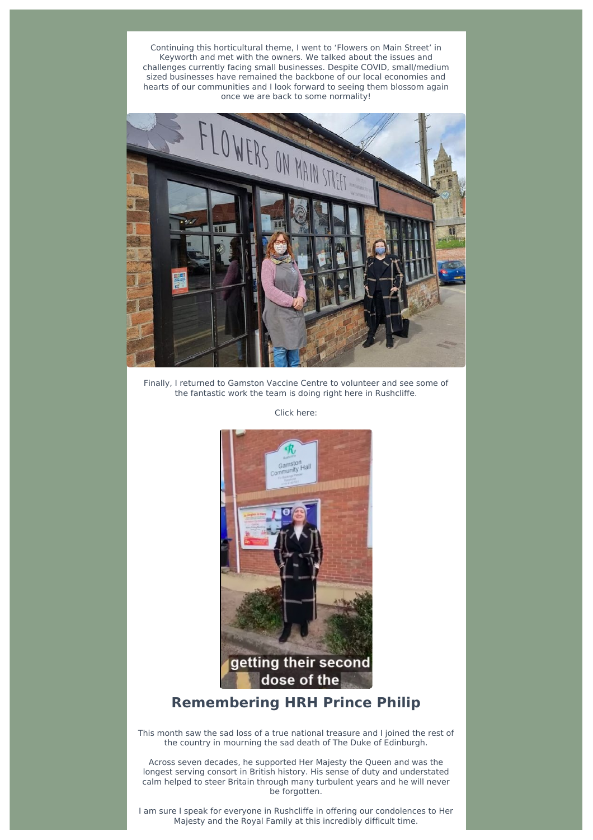Continuing this horticultural theme, I went to 'Flowers on Main Street' in Keyworth and met with the owners. We talked about the issues and challenges currently facing small businesses. Despite COVID, small/medium sized businesses have remained the backbone of our local economies and hearts of our communities and I look forward to seeing them blossom again once we are back to some normality!



Finally, I returned to Gamston Vaccine Centre to volunteer and see some of the fantastic work the team is doing right here in Rushcliffe.

Click here:



#### **Remembering HRH Prince Philip**

This month saw the sad loss of a true national treasure and I joined the rest of the country in mourning the sad death of The Duke of Edinburgh.

Across seven decades, he supported Her Majesty the Queen and was the longest serving consort in British history. His sense of duty and understated calm helped to steer Britain through many turbulent years and he will never be forgotten.

I am sure I speak for everyone in Rushcliffe in offering our condolences to Her Majesty and the Royal Family at this incredibly difficult time.